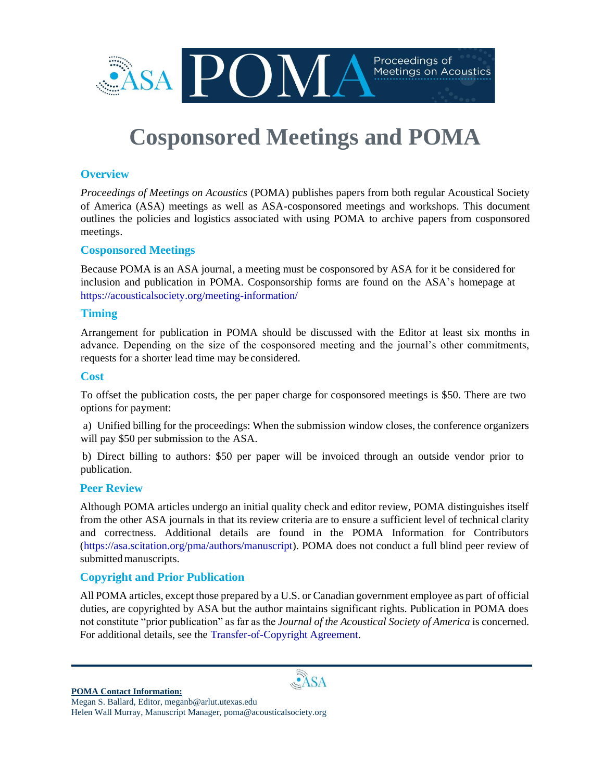

# **Cosponsored Meetings and POMA**

## **Overview**

*Proceedings of Meetings on Acoustics* (POMA) publishes papers from both regular Acoustical Society of America (ASA) meetings as well as ASA-cosponsored meetings and workshops. This document outlines the policies and logistics associated with using POMA to archive papers from cosponsored meetings.

## **Cosponsored Meetings**

Because POMA is an ASA journal, a meeting must be cosponsored by ASA for it be considered for inclusion and publication in POMA. Cosponsorship forms are found on the ASA's homepage at https://acousticalsociety.org/meeting-information/

#### **Timing**

Arrangement for publication in POMA should be discussed with the Editor at least six months in advance. Depending on the size of the cosponsored meeting and the journal's other commitments, requests for a shorter lead time may be considered.

#### **Cost**

To offset the publication costs, the per paper charge for cosponsored meetings is \$50. There are two options for payment:

a) Unified billing for the proceedings: When the submission window closes, the conference organizers will pay \$50 per submission to the ASA.

b) Direct billing to authors: \$50 per paper will be invoiced through an outside vendor prior to publication.

#### **Peer Review**

Although POMA articles undergo an initial quality check and editor review, POMA distinguishes itself from the other ASA journals in that its review criteria are to ensure a sufficient level of technical clarity and correctness. Additional details are found in the POMA Information for Contributors (https://asa.scitation.org/pma/authors/manuscript). POMA does not conduct a full blind peer review of submitted manuscripts.

## **Copyright and Prior Publication**

All POMA articles, except those prepared by a U.S. or Canadian government employee as part of official duties, are copyrighted by ASA but the author maintains significant rights. Publication in POMA does not constitute "prior publication" as far as the *Journal of the Acoustical Society of America* is concerned. For additional details, see the Transfer-of-Copyright Agreement.